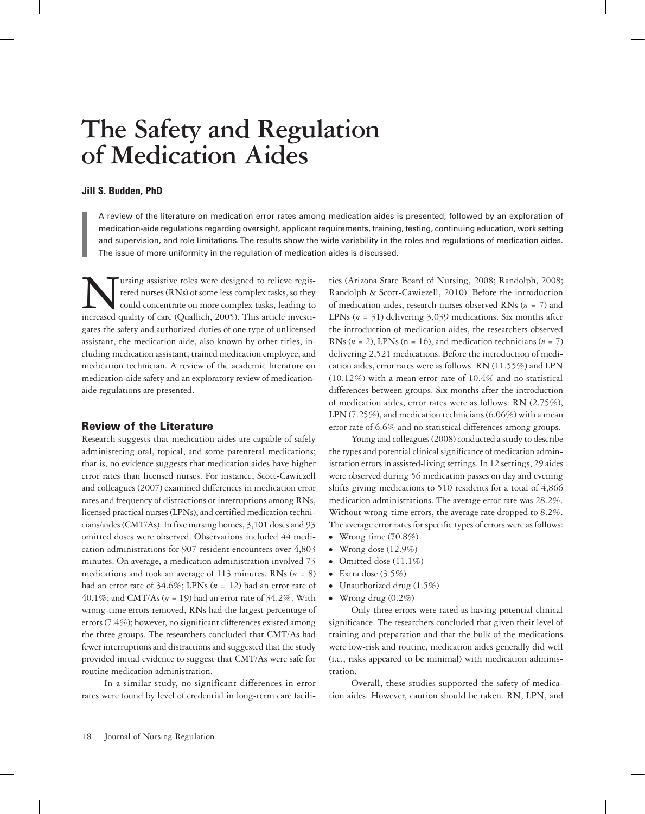# **The Safety and Regulation of Medication Aides**

## **Jill S. Budden, PhD**

A review of the literature on medication error rates among medication aides is presented, followed by an exploration of medication-aide regulations regarding oversight, applicant requirements, training, testing, continuing education, work setting and supervision, and role limitations. The results show the wide variability in the roles and regulations of medication aides. The issue of more uniformity in the regulation of medication aides is discussed.

Ursing assistive roles were designed to relieve regis-<br>tered nurses (RNs) of some less complex tasks, so they<br>could concentrate on more complex tasks, leading to<br>increased quality of care (Quallich, 2005). This article inv tered nurses (RNs) of some less complex tasks, so they could concentrate on more complex tasks, leading to increased quality of care (Quallich, 2005). This article investigates the safety and authorized duties of one type of unlicensed assistant, the medication aide, also known by other titles, including medication assistant, trained medication employee, and medication technician. A review of the academic literature on medication-aide safety and an exploratory review of medicationaide regulations are presented.

## Review of the Literature

Research suggests that medication aides are capable of safely administering oral, topical, and some parenteral medications; that is, no evidence suggests that medication aides have higher error rates than licensed nurses. For instance, Scott-Cawiezell and colleagues (2007) examined differences in medication error rates and frequency of distractions or interruptions among RNs, licensed practical nurses (LPNs), and certified medication technicians/aides (CMT/As). In five nursing homes, 3,101 doses and 93 omitted doses were observed. Observations included 44 medication administrations for 907 resident encounters over 4,803 minutes. On average, a medication administration involved 73 medications and took an average of 113 minutes. RNs (*n* = 8) had an error rate of 34.6%; LPNs (*n* = 12) had an error rate of 40.1%; and CMT/As (*n* = 19) had an error rate of 34.2%. With wrong-time errors removed, RNs had the largest percentage of errors (7.4%); however, no significant differences existed among the three groups. The researchers concluded that CMT/As had fewer interruptions and distractions and suggested that the study provided initial evidence to suggest that CMT/As were safe for routine medication administration.

In a similar study, no significant differences in error rates were found by level of credential in long-term care facili-

ties (Arizona State Board of Nursing, 2008; Randolph, 2008; Randolph & Scott-Cawiezell, 2010). Before the introduction of medication aides, research nurses observed RNs (*n* = 7) and LPNs (*n* = 31) delivering 3,039 medications. Six months after the introduction of medication aides, the researchers observed RNs ( $n = 2$ ), LPNs ( $n = 16$ ), and medication technicians ( $n = 7$ ) delivering 2,521 medications. Before the introduction of medication aides, error rates were as follows: RN (11.55%) and LPN (10.12%) with a mean error rate of 10.4% and no statistical differences between groups. Six months after the introduction of medication aides, error rates were as follows: RN (2.75%), LPN (7.25%), and medication technicians (6.06%) with a mean error rate of 6.6% and no statistical differences among groups.

Young and colleagues (2008) conducted a study to describe the types and potential clinical significance of medication administration errors in assisted-living settings. In 12 settings, 29 aides were observed during 56 medication passes on day and evening shifts giving medications to 510 residents for a total of 4,866 medication administrations. The average error rate was 28.2%. Without wrong-time errors, the average rate dropped to 8.2%. The average error rates for specific types of errors were as follows:

- ⦁⦁ Wrong time (70.8%)
- ⦁⦁ Wrong dose (12.9%)
- Omitted dose (11.1%)
- ⦁⦁ Extra dose (3.5%)
- ⦁⦁ Unauthorized drug (1.5%)
- ⦁⦁ Wrong drug (0.2%)

Only three errors were rated as having potential clinical significance. The researchers concluded that given their level of training and preparation and that the bulk of the medications were low-risk and routine, medication aides generally did well (i.e., risks appeared to be minimal) with medication administration.

Overall, these studies supported the safety of medication aides. However, caution should be taken. RN, LPN, and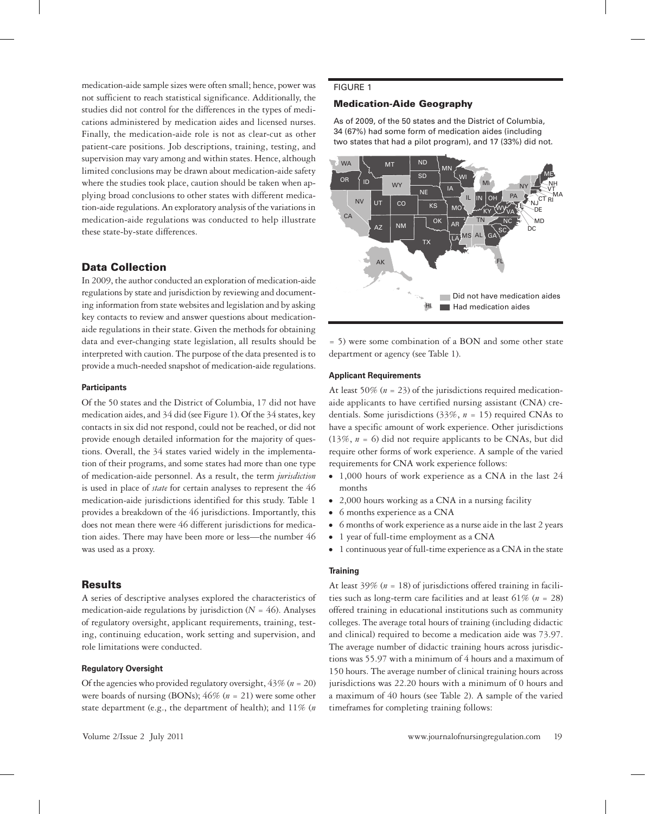medication-aide sample sizes were often small; hence, power was not sufficient to reach statistical significance. Additionally, the studies did not control for the differences in the types of medications administered by medication aides and licensed nurses. Finally, the medication-aide role is not as clear-cut as other patient-care positions. Job descriptions, training, testing, and supervision may vary among and within states. Hence, although limited conclusions may be drawn about medication-aide safety where the studies took place, caution should be taken when applying broad conclusions to other states with different medication-aide regulations. An exploratory analysis of the variations in medication-aide regulations was conducted to help illustrate these state-by-state differences.

# Data Collection

In 2009, the author conducted an exploration of medication-aide regulations by state and jurisdiction by reviewing and documenting information from state websites and legislation and by asking key contacts to review and answer questions about medicationaide regulations in their state. Given the methods for obtaining data and ever-changing state legislation, all results should be interpreted with caution. The purpose of the data presented is to provide a much-needed snapshot of medication-aide regulations.

#### **Participants**

Of the 50 states and the District of Columbia, 17 did not have medication aides, and 34 did (see Figure 1). Of the 34 states, key contacts in six did not respond, could not be reached, or did not provide enough detailed information for the majority of questions. Overall, the 34 states varied widely in the implementation of their programs, and some states had more than one type of medication-aide personnel. As a result, the term *jurisdiction*  is used in place of *state* for certain analyses to represent the 46 medication-aide jurisdictions identified for this study. Table 1 provides a breakdown of the 46 jurisdictions. Importantly, this does not mean there were 46 different jurisdictions for medication aides. There may have been more or less—the number 46 was used as a proxy.

# **Results**

A series of descriptive analyses explored the characteristics of medication-aide regulations by jurisdiction  $(N = 46)$ . Analyses of regulatory oversight, applicant requirements, training, testing, continuing education, work setting and supervision, and role limitations were conducted.

## **Regulatory Oversight**

Of the agencies who provided regulatory oversight, 43% (*n* = 20) were boards of nursing (BONs); 46% (*n* = 21) were some other state department (e.g., the department of health); and 11% (*n*

## **FIGURE 1**

## Medication-Aide Geography

As of 2009, of the 50 states and the District of Columbia, 34 (67%) had some form of medication aides (including two states that had a pilot program), and 17 (33%) did not.



= 5) were some combination of a BON and some other state department or agency (see Table 1).

#### **Applicant Requirements**

At least 50% ( $n = 23$ ) of the jurisdictions required medicationaide applicants to have certified nursing assistant (CNA) credentials. Some jurisdictions (33%, *n* = 15) required CNAs to have a specific amount of work experience. Other jurisdictions (13%, *n* = 6) did not require applicants to be CNAs, but did require other forms of work experience. A sample of the varied requirements for CNA work experience follows:

- ⦁⦁ 1,000 hours of work experience as a CNA in the last 24 months
- ⦁⦁ 2,000 hours working as a CNA in a nursing facility
- ⦁⦁ 6 months experience as a CNA
- ⦁⦁ 6 months of work experience as a nurse aide in the last 2 years
- ⦁⦁ 1 year of full-time employment as a CNA
- ⦁⦁ 1 continuous year of full-time experience as a CNA in the state

## **Training**

At least 39% (*n* = 18) of jurisdictions offered training in facilities such as long-term care facilities and at least 61% (*n* = 28) offered training in educational institutions such as community colleges. The average total hours of training (including didactic and clinical) required to become a medication aide was 73.97. The average number of didactic training hours across jurisdictions was 55.97 with a minimum of 4 hours and a maximum of 150 hours. The average number of clinical training hours across jurisdictions was 22.20 hours with a minimum of 0 hours and a maximum of 40 hours (see Table 2). A sample of the varied timeframes for completing training follows: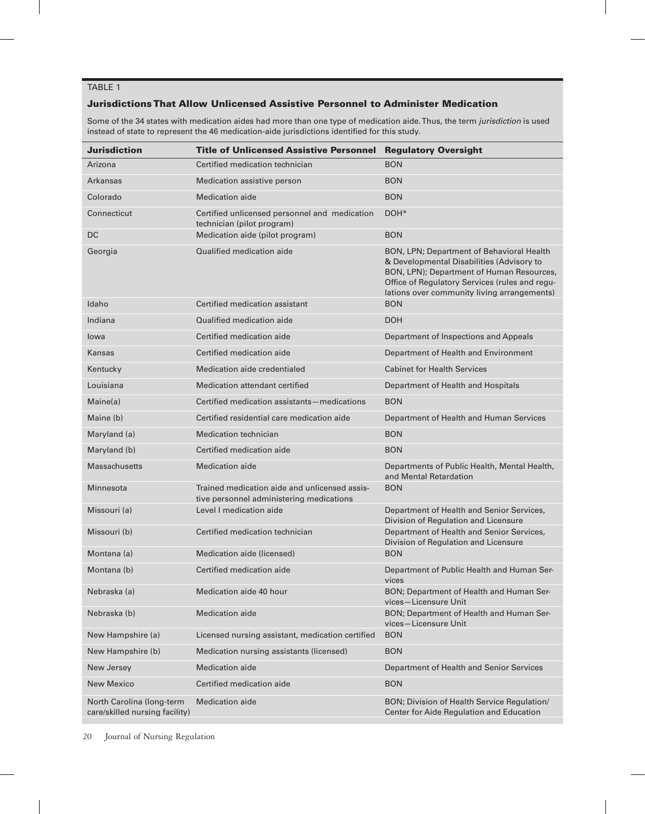## TABLE 1

## Jurisdictions That Allow Unlicensed Assistive Personnel to Administer Medication

Some of the 34 states with medication aides had more than one type of medication aide. Thus, the term *jurisdiction* is used instead of state to represent the 46 medication-aide jurisdictions identified for this study.

| <b>Jurisdiction</b>                                         | <b>Title of Unlicensed Assistive Personnel</b>                                            | <b>Regulatory Oversight</b>                                                                                                                                                                                                          |  |  |  |
|-------------------------------------------------------------|-------------------------------------------------------------------------------------------|--------------------------------------------------------------------------------------------------------------------------------------------------------------------------------------------------------------------------------------|--|--|--|
| Arizona                                                     | Certified medication technician                                                           | <b>BON</b>                                                                                                                                                                                                                           |  |  |  |
| Arkansas                                                    | Medication assistive person                                                               | <b>BON</b>                                                                                                                                                                                                                           |  |  |  |
| Colorado                                                    | <b>Medication aide</b>                                                                    | <b>BON</b>                                                                                                                                                                                                                           |  |  |  |
| Connecticut                                                 | Certified unlicensed personnel and medication<br>technician (pilot program)               | DOH <sup>*</sup>                                                                                                                                                                                                                     |  |  |  |
| <b>DC</b>                                                   | Medication aide (pilot program)                                                           | <b>BON</b>                                                                                                                                                                                                                           |  |  |  |
| Georgia                                                     | Qualified medication aide                                                                 | BON, LPN; Department of Behavioral Health<br>& Developmental Disabilities (Advisory to<br>BON, LPN); Department of Human Resources,<br>Office of Regulatory Services (rules and regu-<br>lations over community living arrangements) |  |  |  |
| Idaho                                                       | Certified medication assistant                                                            | <b>BON</b>                                                                                                                                                                                                                           |  |  |  |
| Indiana                                                     | Qualified medication aide                                                                 | <b>DOH</b>                                                                                                                                                                                                                           |  |  |  |
| lowa                                                        | Certified medication aide                                                                 | Department of Inspections and Appeals                                                                                                                                                                                                |  |  |  |
| <b>Kansas</b>                                               | Certified medication aide                                                                 | Department of Health and Environment                                                                                                                                                                                                 |  |  |  |
| Kentucky                                                    | Medication aide credentialed                                                              | <b>Cabinet for Health Services</b>                                                                                                                                                                                                   |  |  |  |
| Louisiana                                                   | Medication attendant certified                                                            | Department of Health and Hospitals                                                                                                                                                                                                   |  |  |  |
| Maine(a)                                                    | Certified medication assistants-medications                                               | <b>BON</b>                                                                                                                                                                                                                           |  |  |  |
| Maine (b)                                                   | Certified residential care medication aide                                                | Department of Health and Human Services                                                                                                                                                                                              |  |  |  |
| Maryland (a)                                                | <b>Medication technician</b>                                                              | <b>BON</b>                                                                                                                                                                                                                           |  |  |  |
| Maryland (b)                                                | Certified medication aide                                                                 | <b>BON</b>                                                                                                                                                                                                                           |  |  |  |
| <b>Massachusetts</b>                                        | <b>Medication aide</b>                                                                    | Departments of Public Health, Mental Health,<br>and Mental Retardation                                                                                                                                                               |  |  |  |
| Minnesota                                                   | Trained medication aide and unlicensed assis-<br>tive personnel administering medications | <b>BON</b>                                                                                                                                                                                                                           |  |  |  |
| Missouri (a)                                                | Level Lmedication aide                                                                    | Department of Health and Senior Services,<br>Division of Regulation and Licensure                                                                                                                                                    |  |  |  |
| Missouri (b)                                                | Certified medication technician                                                           | Department of Health and Senior Services,<br>Division of Regulation and Licensure                                                                                                                                                    |  |  |  |
| Montana (a)                                                 | Medication aide (licensed)                                                                | <b>BON</b>                                                                                                                                                                                                                           |  |  |  |
| Montana (b)                                                 | Certified medication aide                                                                 | Department of Public Health and Human Ser-<br>vices                                                                                                                                                                                  |  |  |  |
| Nebraska (a)                                                | Medication aide 40 hour                                                                   | BON; Department of Health and Human Ser-<br>vices-Licensure Unit                                                                                                                                                                     |  |  |  |
| Nebraska (b)                                                | <b>Medication aide</b>                                                                    | BON; Department of Health and Human Ser-<br>vices-Licensure Unit                                                                                                                                                                     |  |  |  |
| New Hampshire (a)                                           | Licensed nursing assistant, medication certified                                          | <b>BON</b>                                                                                                                                                                                                                           |  |  |  |
| New Hampshire (b)                                           | Medication nursing assistants (licensed)                                                  | <b>BON</b>                                                                                                                                                                                                                           |  |  |  |
| New Jersey                                                  | Medication aide                                                                           | Department of Health and Senior Services                                                                                                                                                                                             |  |  |  |
| <b>New Mexico</b>                                           | Certified medication aide                                                                 | <b>BON</b>                                                                                                                                                                                                                           |  |  |  |
| North Carolina (long-term<br>care/skilled nursing facility) | <b>Medication</b> aide                                                                    | BON; Division of Health Service Regulation/<br>Center for Aide Regulation and Education                                                                                                                                              |  |  |  |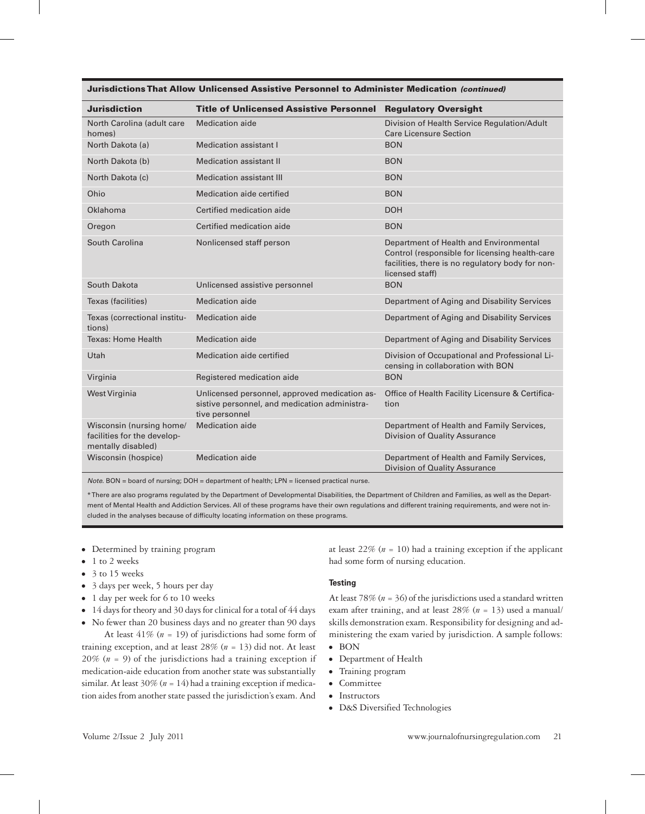#### Jurisdictions That Allow Unlicensed Assistive Personnel to Administer Medication *(continued)*

| <b>Jurisdiction</b>                                                           | <b>Title of Unlicensed Assistive Personnel Regulatory Oversight</b>                                              |                                                                                                                                                                 |  |  |  |
|-------------------------------------------------------------------------------|------------------------------------------------------------------------------------------------------------------|-----------------------------------------------------------------------------------------------------------------------------------------------------------------|--|--|--|
| North Carolina (adult care<br>homes)                                          | <b>Medication aide</b>                                                                                           | Division of Health Service Regulation/Adult<br><b>Care Licensure Section</b>                                                                                    |  |  |  |
| North Dakota (a)                                                              | Medication assistant I                                                                                           | <b>BON</b>                                                                                                                                                      |  |  |  |
| North Dakota (b)                                                              | <b>Medication assistant II</b>                                                                                   | <b>BON</b>                                                                                                                                                      |  |  |  |
| North Dakota (c)                                                              | <b>Medication assistant III</b>                                                                                  | <b>BON</b>                                                                                                                                                      |  |  |  |
| Ohio                                                                          | Medication aide certified                                                                                        | <b>BON</b>                                                                                                                                                      |  |  |  |
| Oklahoma                                                                      | Certified medication aide                                                                                        | <b>DOH</b>                                                                                                                                                      |  |  |  |
| Oregon                                                                        | Certified medication aide                                                                                        | <b>BON</b>                                                                                                                                                      |  |  |  |
| South Carolina                                                                | Nonlicensed staff person                                                                                         | Department of Health and Environmental<br>Control (responsible for licensing health-care<br>facilities, there is no regulatory body for non-<br>licensed staff) |  |  |  |
| South Dakota                                                                  | Unlicensed assistive personnel                                                                                   | <b>BON</b>                                                                                                                                                      |  |  |  |
| Texas (facilities)                                                            | Medication aide                                                                                                  | Department of Aging and Disability Services                                                                                                                     |  |  |  |
| Texas (correctional institu-<br>tions)                                        | Medication aide                                                                                                  | Department of Aging and Disability Services                                                                                                                     |  |  |  |
| <b>Texas: Home Health</b>                                                     | Medication aide                                                                                                  | Department of Aging and Disability Services                                                                                                                     |  |  |  |
| Utah                                                                          | Medication aide certified                                                                                        | Division of Occupational and Professional Li-<br>censing in collaboration with BON                                                                              |  |  |  |
| Virginia                                                                      | Registered medication aide                                                                                       | <b>BON</b>                                                                                                                                                      |  |  |  |
| West Virginia                                                                 | Unlicensed personnel, approved medication as-<br>sistive personnel, and medication administra-<br>tive personnel | Office of Health Facility Licensure & Certifica-<br>tion                                                                                                        |  |  |  |
| Wisconsin (nursing home/<br>facilities for the develop-<br>mentally disabled) | Medication aide                                                                                                  | Department of Health and Family Services,<br>Division of Quality Assurance                                                                                      |  |  |  |
| Wisconsin (hospice)                                                           | Medication aide                                                                                                  | Department of Health and Family Services,<br>Division of Quality Assurance                                                                                      |  |  |  |

*Note.* BON = board of nursing; DOH = department of health; LPN = licensed practical nurse.

\* There are also programs regulated by the Department of Developmental Disabilities, the Department of Children and Families, as well as the Department of Mental Health and Addiction Services. All of these programs have their own regulations and different training requirements, and were not included in the analyses because of difficulty locating information on these programs.

- ⦁⦁ Determined by training program
- ⦁⦁ 1 to 2 weeks
- ⦁⦁ 3 to 15 weeks
- ⦁⦁ 3 days per week, 5 hours per day
- ⦁⦁ 1 day per week for 6 to 10 weeks
- ⦁⦁ 14 days for theory and 30 days for clinical for a total of 44 days
- ⦁⦁ No fewer than 20 business days and no greater than 90 days At least 41% (*n* = 19) of jurisdictions had some form of

training exception, and at least 28% (*n* = 13) did not. At least 20% (*n* = 9) of the jurisdictions had a training exception if medication-aide education from another state was substantially similar. At least  $30\%$  ( $n = 14$ ) had a training exception if medication aides from another state passed the jurisdiction's exam. And at least  $22\%$  ( $n = 10$ ) had a training exception if the applicant had some form of nursing education.

#### **Testing**

At least 78% (*n* = 36) of the jurisdictions used a standard written exam after training, and at least 28% (*n* = 13) used a manual/ skills demonstration exam. Responsibility for designing and administering the exam varied by jurisdiction. A sample follows:

- ⦁⦁ BON
- ⦁⦁ Department of Health
- ⦁⦁ Training program
- ⦁⦁ Committee
- ⦁⦁ Instructors
- ⦁⦁ D&S Diversified Technologies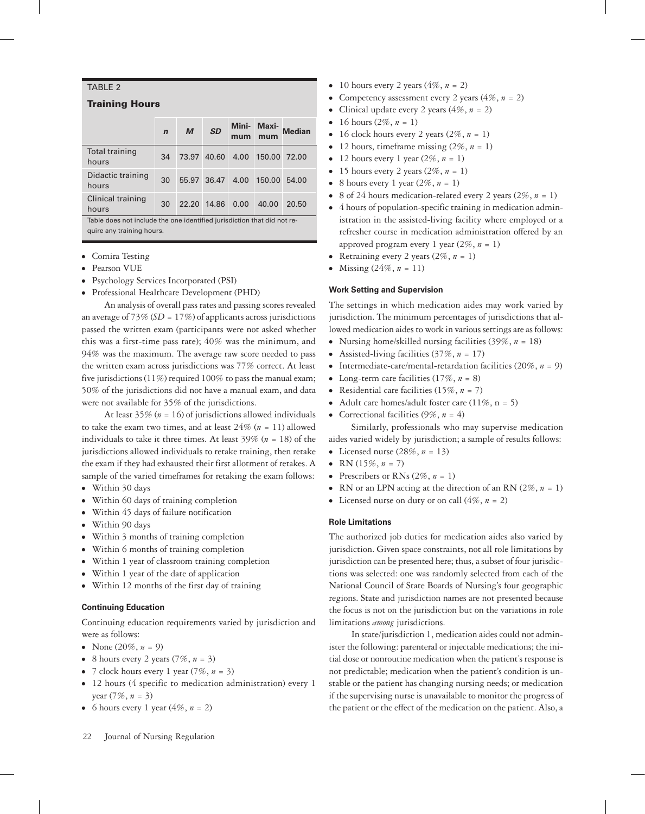## TABLE  $2$

#### Training Hours

|                                                                         | $\mathbf n$ | M           | <b>SD</b>   | mum  | Mini- Maxi-<br>mum | <b>Median</b> |  |
|-------------------------------------------------------------------------|-------------|-------------|-------------|------|--------------------|---------------|--|
| <b>Total training</b><br>hours                                          | 34          | 73.97 40.60 |             | 4.00 | 150,00 72,00       |               |  |
| Didactic training<br>hours                                              | 30          |             | 55.97 36.47 | 4.00 | 150.00             | 54.00         |  |
| Clinical training<br>hours                                              | 30          |             | 22.20 14.86 | 0.00 | 40.00              | 20.50         |  |
| Table does not include the one identified jurisdiction that did not re- |             |             |             |      |                    |               |  |

quire any training hours.

- ⦁⦁ Comira Testing
- ⦁⦁ Pearson VUE
- ⦁⦁ Psychology Services Incorporated (PSI)
- ⦁⦁ Professional Healthcare Development (PHD)

An analysis of overall pass rates and passing scores revealed an average of  $73\%$  (*SD* =  $17\%$ ) of applicants across jurisdictions passed the written exam (participants were not asked whether this was a first-time pass rate); 40% was the minimum, and 94% was the maximum. The average raw score needed to pass the written exam across jurisdictions was 77% correct. At least five jurisdictions (11%) required 100% to pass the manual exam; 50% of the jurisdictions did not have a manual exam, and data were not available for 35% of the jurisdictions.

At least  $35\%$  ( $n = 16$ ) of jurisdictions allowed individuals to take the exam two times, and at least 24% (*n* = 11) allowed individuals to take it three times. At least 39% (*n* = 18) of the jurisdictions allowed individuals to retake training, then retake the exam if they had exhausted their first allotment of retakes. A sample of the varied timeframes for retaking the exam follows:

- ⦁⦁ Within 30 days
- ⦁⦁ Within 60 days of training completion
- ⦁⦁ Within 45 days of failure notification
- ⦁⦁ Within 90 days
- ⦁⦁ Within 3 months of training completion
- ⦁⦁ Within 6 months of training completion
- Within 1 year of classroom training completion
- Within 1 year of the date of application
- ⦁⦁ Within 12 months of the first day of training

#### **Continuing Education**

Continuing education requirements varied by jurisdiction and were as follows:

- None  $(20\%, n = 9)$
- ⦁⦁ 8 hours every 2 years (7%, *n* = 3)
- ⦁⦁ 7 clock hours every 1 year (7%, *n* = 3)
- 12 hours (4 specific to medication administration) every 1 year  $(7\%, n = 3)$
- 6 hours every 1 year  $(4\%, n = 2)$
- $\bullet$  10 hours every 2 years (4\%, n = 2)
- Competency assessment every 2 years  $(4\%, n = 2)$
- Clinical update every 2 years  $(4\%, n = 2)$
- 16 hours  $(2\%, n = 1)$
- 16 clock hours every 2 years <math>(2\%, n = 1)</math>
- 12 hours, timeframe missing  $(2\%, n = 1)$
- 12 hours every 1 year  $(2\%, n = 1)$
- 15 hours every 2 years <math>(2\%, n = 1)</math>
- 8 hours every 1 year  $(2\%, n = 1)$
- ⦁⦁ 8 of 24 hours medication-related every 2 years (2%, *n* = 1)
- ⦁⦁ 4 hours of population-specific training in medication administration in the assisted-living facility where employed or a refresher course in medication administration offered by an approved program every 1 year  $(2\%, n = 1)$
- Retraining every 2 years  $(2\%, n = 1)$
- Missing  $(24\%, n = 11)$

#### **Work Setting and Supervision**

The settings in which medication aides may work varied by jurisdiction. The minimum percentages of jurisdictions that allowed medication aides to work in various settings are as follows:

- ⦁⦁ Nursing home/skilled nursing facilities (39%, *n* = 18)
- ⦁⦁ Assisted-living facilities (37%, *n* = 17)
- ⦁⦁ Intermediate-care/mental-retardation facilities (20%, *n* = 9)
- Long-term care facilities  $(17\%, n = 8)$
- ⦁⦁ Residential care facilities (15%, *n* = 7)
- Adult care homes/adult foster care  $(11\%, n = 5)$
- Correctional facilities  $(9\%, n = 4)$

Similarly, professionals who may supervise medication aides varied widely by jurisdiction; a sample of results follows:

- Licensed nurse  $(28\%, n = 13)$
- RN  $(15\%, n = 7)$
- Prescribers or RNs  $(2\%, n = 1)$
- RN or an LPN acting at the direction of an RN  $(2\%, n = 1)$
- Licensed nurse on duty or on call  $(4\%, n = 2)$

#### **Role Limitations**

The authorized job duties for medication aides also varied by jurisdiction. Given space constraints, not all role limitations by jurisdiction can be presented here; thus, a subset of four jurisdictions was selected: one was randomly selected from each of the National Council of State Boards of Nursing's four geographic regions. State and jurisdiction names are not presented because the focus is not on the jurisdiction but on the variations in role limitations *among* jurisdictions.

In state/jurisdiction 1, medication aides could not administer the following: parenteral or injectable medications; the initial dose or nonroutine medication when the patient's response is not predictable; medication when the patient's condition is unstable or the patient has changing nursing needs; or medication if the supervising nurse is unavailable to monitor the progress of the patient or the effect of the medication on the patient. Also, a